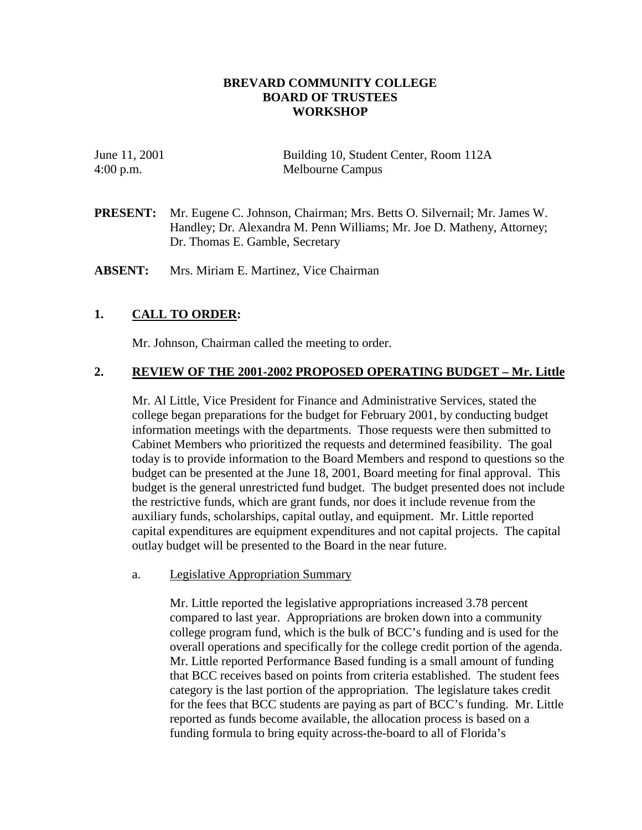## **BREVARD COMMUNITY COLLEGE BOARD OF TRUSTEES WORKSHOP**

| June 11, 2001 | Building 10, Student Center, Room 112A |
|---------------|----------------------------------------|
| $4:00$ p.m.   | Melbourne Campus                       |

**PRESENT:** Mr. Eugene C. Johnson, Chairman; Mrs. Betts O. Silvernail; Mr. James W. Handley; Dr. Alexandra M. Penn Williams; Mr. Joe D. Matheny, Attorney; Dr. Thomas E. Gamble, Secretary

**ABSENT:** Mrs. Miriam E. Martinez, Vice Chairman

## **1. CALL TO ORDER:**

Mr. Johnson, Chairman called the meeting to order.

### **2. REVIEW OF THE 2001-2002 PROPOSED OPERATING BUDGET – Mr. Little**

Mr. Al Little, Vice President for Finance and Administrative Services, stated the college began preparations for the budget for February 2001, by conducting budget information meetings with the departments. Those requests were then submitted to Cabinet Members who prioritized the requests and determined feasibility. The goal today is to provide information to the Board Members and respond to questions so the budget can be presented at the June 18, 2001, Board meeting for final approval. This budget is the general unrestricted fund budget. The budget presented does not include the restrictive funds, which are grant funds, nor does it include revenue from the auxiliary funds, scholarships, capital outlay, and equipment. Mr. Little reported capital expenditures are equipment expenditures and not capital projects. The capital outlay budget will be presented to the Board in the near future.

### a. Legislative Appropriation Summary

Mr. Little reported the legislative appropriations increased 3.78 percent compared to last year. Appropriations are broken down into a community college program fund, which is the bulk of BCC's funding and is used for the overall operations and specifically for the college credit portion of the agenda. Mr. Little reported Performance Based funding is a small amount of funding that BCC receives based on points from criteria established. The student fees category is the last portion of the appropriation. The legislature takes credit for the fees that BCC students are paying as part of BCC's funding. Mr. Little reported as funds become available, the allocation process is based on a funding formula to bring equity across-the-board to all of Florida's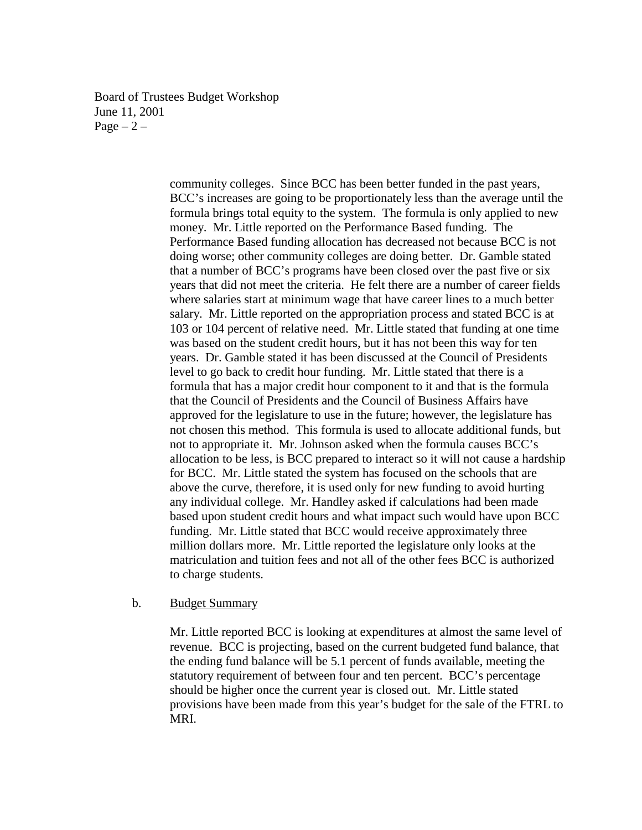Board of Trustees Budget Workshop June 11, 2001 Page  $-2$  –

> community colleges. Since BCC has been better funded in the past years, BCC's increases are going to be proportionately less than the average until the formula brings total equity to the system. The formula is only applied to new money. Mr. Little reported on the Performance Based funding. The Performance Based funding allocation has decreased not because BCC is not doing worse; other community colleges are doing better. Dr. Gamble stated that a number of BCC's programs have been closed over the past five or six years that did not meet the criteria. He felt there are a number of career fields where salaries start at minimum wage that have career lines to a much better salary. Mr. Little reported on the appropriation process and stated BCC is at 103 or 104 percent of relative need. Mr. Little stated that funding at one time was based on the student credit hours, but it has not been this way for ten years. Dr. Gamble stated it has been discussed at the Council of Presidents level to go back to credit hour funding. Mr. Little stated that there is a formula that has a major credit hour component to it and that is the formula that the Council of Presidents and the Council of Business Affairs have approved for the legislature to use in the future; however, the legislature has not chosen this method. This formula is used to allocate additional funds, but not to appropriate it. Mr. Johnson asked when the formula causes BCC's allocation to be less, is BCC prepared to interact so it will not cause a hardship for BCC. Mr. Little stated the system has focused on the schools that are above the curve, therefore, it is used only for new funding to avoid hurting any individual college. Mr. Handley asked if calculations had been made based upon student credit hours and what impact such would have upon BCC funding. Mr. Little stated that BCC would receive approximately three million dollars more. Mr. Little reported the legislature only looks at the matriculation and tuition fees and not all of the other fees BCC is authorized to charge students.

#### b. Budget Summary

Mr. Little reported BCC is looking at expenditures at almost the same level of revenue. BCC is projecting, based on the current budgeted fund balance, that the ending fund balance will be 5.1 percent of funds available, meeting the statutory requirement of between four and ten percent. BCC's percentage should be higher once the current year is closed out. Mr. Little stated provisions have been made from this year's budget for the sale of the FTRL to MRI.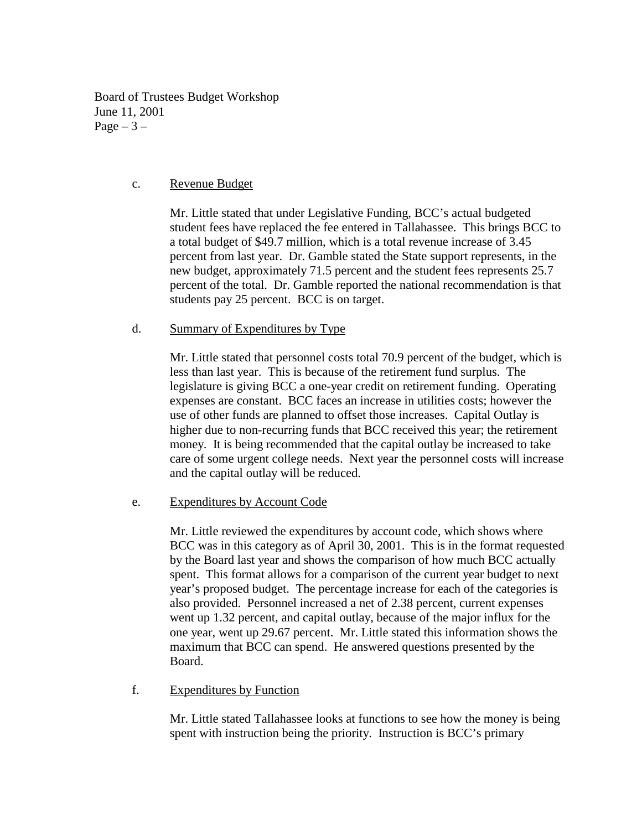Board of Trustees Budget Workshop June 11, 2001 Page  $-3$  –

# c. Revenue Budget

Mr. Little stated that under Legislative Funding, BCC's actual budgeted student fees have replaced the fee entered in Tallahassee. This brings BCC to a total budget of \$49.7 million, which is a total revenue increase of 3.45 percent from last year. Dr. Gamble stated the State support represents, in the new budget, approximately 71.5 percent and the student fees represents 25.7 percent of the total. Dr. Gamble reported the national recommendation is that students pay 25 percent. BCC is on target.

## d. Summary of Expenditures by Type

 Mr. Little stated that personnel costs total 70.9 percent of the budget, which is less than last year. This is because of the retirement fund surplus. The legislature is giving BCC a one-year credit on retirement funding. Operating expenses are constant. BCC faces an increase in utilities costs; however the use of other funds are planned to offset those increases. Capital Outlay is higher due to non-recurring funds that BCC received this year; the retirement money. It is being recommended that the capital outlay be increased to take care of some urgent college needs. Next year the personnel costs will increase and the capital outlay will be reduced.

## e. Expenditures by Account Code

Mr. Little reviewed the expenditures by account code, which shows where BCC was in this category as of April 30, 2001. This is in the format requested by the Board last year and shows the comparison of how much BCC actually spent. This format allows for a comparison of the current year budget to next year's proposed budget. The percentage increase for each of the categories is also provided. Personnel increased a net of 2.38 percent, current expenses went up 1.32 percent, and capital outlay, because of the major influx for the one year, went up 29.67 percent. Mr. Little stated this information shows the maximum that BCC can spend. He answered questions presented by the Board.

## f. Expenditures by Function

Mr. Little stated Tallahassee looks at functions to see how the money is being spent with instruction being the priority. Instruction is BCC's primary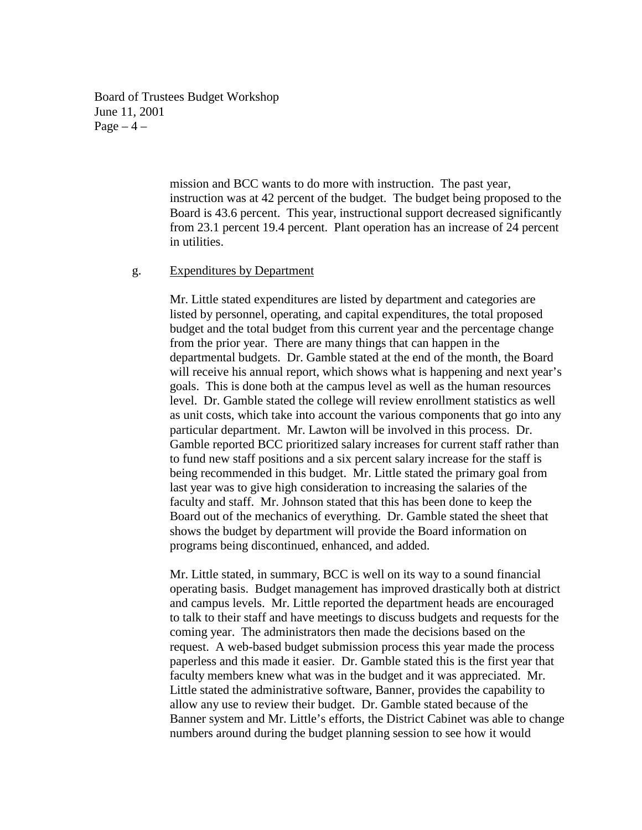Board of Trustees Budget Workshop June 11, 2001 Page  $-4$  –

> mission and BCC wants to do more with instruction. The past year, instruction was at 42 percent of the budget. The budget being proposed to the Board is 43.6 percent. This year, instructional support decreased significantly from 23.1 percent 19.4 percent. Plant operation has an increase of 24 percent in utilities.

### g. Expenditures by Department

Mr. Little stated expenditures are listed by department and categories are listed by personnel, operating, and capital expenditures, the total proposed budget and the total budget from this current year and the percentage change from the prior year. There are many things that can happen in the departmental budgets. Dr. Gamble stated at the end of the month, the Board will receive his annual report, which shows what is happening and next year's goals. This is done both at the campus level as well as the human resources level. Dr. Gamble stated the college will review enrollment statistics as well as unit costs, which take into account the various components that go into any particular department. Mr. Lawton will be involved in this process. Dr. Gamble reported BCC prioritized salary increases for current staff rather than to fund new staff positions and a six percent salary increase for the staff is being recommended in this budget. Mr. Little stated the primary goal from last year was to give high consideration to increasing the salaries of the faculty and staff. Mr. Johnson stated that this has been done to keep the Board out of the mechanics of everything. Dr. Gamble stated the sheet that shows the budget by department will provide the Board information on programs being discontinued, enhanced, and added.

Mr. Little stated, in summary, BCC is well on its way to a sound financial operating basis. Budget management has improved drastically both at district and campus levels. Mr. Little reported the department heads are encouraged to talk to their staff and have meetings to discuss budgets and requests for the coming year. The administrators then made the decisions based on the request. A web-based budget submission process this year made the process paperless and this made it easier. Dr. Gamble stated this is the first year that faculty members knew what was in the budget and it was appreciated. Mr. Little stated the administrative software, Banner, provides the capability to allow any use to review their budget. Dr. Gamble stated because of the Banner system and Mr. Little's efforts, the District Cabinet was able to change numbers around during the budget planning session to see how it would